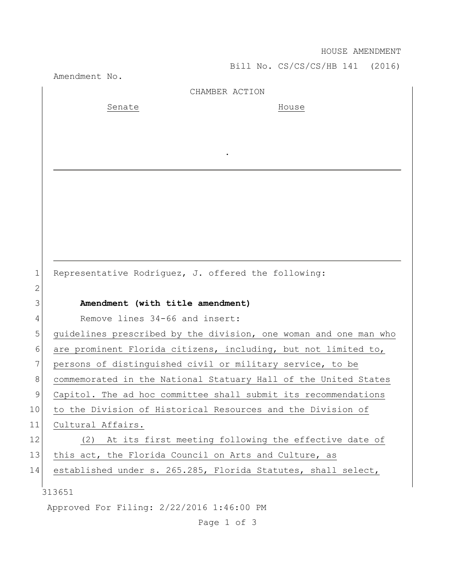## HOUSE AMENDMENT

Bill No. CS/CS/CS/HB 141 (2016)

|              | Amendment No.                                                    |
|--------------|------------------------------------------------------------------|
|              | CHAMBER ACTION                                                   |
|              | Senate<br>House                                                  |
|              |                                                                  |
|              |                                                                  |
|              |                                                                  |
|              |                                                                  |
|              |                                                                  |
|              |                                                                  |
|              |                                                                  |
|              |                                                                  |
|              |                                                                  |
|              |                                                                  |
| $\mathbf{1}$ | Representative Rodríguez, J. offered the following:              |
| $\mathbf{2}$ |                                                                  |
| 3            | Amendment (with title amendment)                                 |
| 4            | Remove lines 34-66 and insert:                                   |
| 5            | guidelines prescribed by the division, one woman and one man who |
| 6            | are prominent Florida citizens, including, but not limited to,   |
| 7            | persons of distinguished civil or military service, to be        |
| 8            | commemorated in the National Statuary Hall of the United States  |
| 9            | Capitol. The ad hoc committee shall submit its recommendations   |
| 10           | to the Division of Historical Resources and the Division of      |
| 11           | Cultural Affairs.                                                |
| 12           | At its first meeting following the effective date of<br>(2)      |
| 13           | this act, the Florida Council on Arts and Culture, as            |
| 14           | established under s. 265.285, Florida Statutes, shall select,    |
|              | 313651                                                           |
|              | Approved For Filing: 2/22/2016 1:46:00 PM                        |
|              |                                                                  |

Page 1 of 3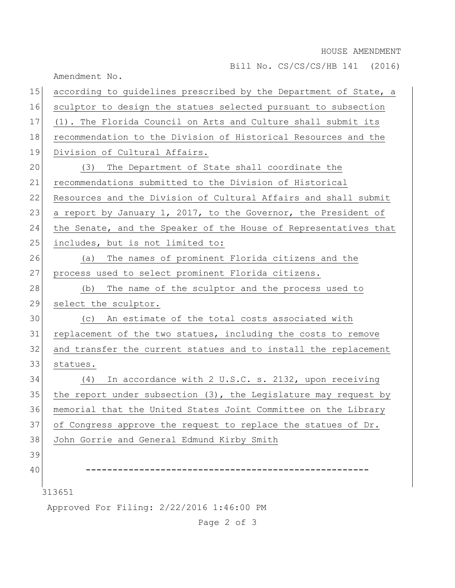HOUSE AMENDMENT

Bill No. CS/CS/CS/HB 141 (2016)

Amendment No. 313651 Approved For Filing: 2/22/2016 1:46:00 PM 15 according to quidelines prescribed by the Department of State, a 16 sculptor to design the statues selected pursuant to subsection 17 (1). The Florida Council on Arts and Culture shall submit its 18 recommendation to the Division of Historical Resources and the 19 Division of Cultural Affairs. 20 (3) The Department of State shall coordinate the 21 recommendations submitted to the Division of Historical 22 Resources and the Division of Cultural Affairs and shall submit 23 a report by January 1, 2017, to the Governor, the President of 24 the Senate, and the Speaker of the House of Representatives that 25 includes, but is not limited to: 26 (a) The names of prominent Florida citizens and the 27 process used to select prominent Florida citizens. 28 (b) The name of the sculptor and the process used to 29 select the sculptor. 30 (c) An estimate of the total costs associated with 31 replacement of the two statues, including the costs to remove 32 and transfer the current statues and to install the replacement 33 statues. 34 (4) In accordance with 2 U.S.C. s. 2132, upon receiving 35 the report under subsection  $(3)$ , the Legislature may request by 36 memorial that the United States Joint Committee on the Library 37 of Congress approve the request to replace the statues of Dr. 38 John Gorrie and General Edmund Kirby Smith 39 40 **-----------------------------------------------------**

Page 2 of 3